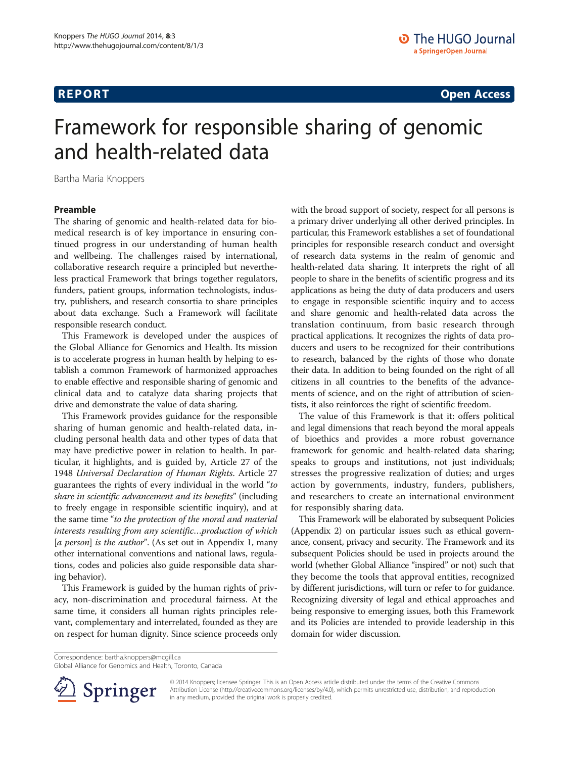# **REPORT CONSIDERING CONSIDERING CONSIDERING CONSIDERING CONSIDERING CONSIDERING CONSIDERING CONSIDERING CONSIDERING CONSIDERING CONSIDERING CONSIDERING CONSIDERING CONSIDERING CONSIDERING CONSIDERING CONSIDERING CONSIDER**

# Framework for responsible sharing of genomic and health-related data

Bartha Maria Knoppers

#### Preamble

The sharing of genomic and health-related data for biomedical research is of key importance in ensuring continued progress in our understanding of human health and wellbeing. The challenges raised by international, collaborative research require a principled but nevertheless practical Framework that brings together regulators, funders, patient groups, information technologists, industry, publishers, and research consortia to share principles about data exchange. Such a Framework will facilitate responsible research conduct.

This Framework is developed under the auspices of the Global Alliance for Genomics and Health. Its mission is to accelerate progress in human health by helping to establish a common Framework of harmonized approaches to enable effective and responsible sharing of genomic and clinical data and to catalyze data sharing projects that drive and demonstrate the value of data sharing.

This Framework provides guidance for the responsible sharing of human genomic and health-related data, including personal health data and other types of data that may have predictive power in relation to health. In particular, it highlights, and is guided by, Article 27 of the 1948 Universal Declaration of Human Rights. Article 27 guarantees the rights of every individual in the world "to share in scientific advancement and its benefits" (including to freely engage in responsible scientific inquiry), and at the same time "to the protection of the moral and material interests resulting from any scientific…production of which [*a person*] *is the author*". (As set out in [Appendix 1](#page-3-0), many other international conventions and national laws, regulations, codes and policies also guide responsible data sharing behavior).

This Framework is guided by the human rights of privacy, non-discrimination and procedural fairness. At the same time, it considers all human rights principles relevant, complementary and interrelated, founded as they are on respect for human dignity. Since science proceeds only with the broad support of society, respect for all persons is a primary driver underlying all other derived principles. In particular, this Framework establishes a set of foundational principles for responsible research conduct and oversight of research data systems in the realm of genomic and health-related data sharing. It interprets the right of all people to share in the benefits of scientific progress and its applications as being the duty of data producers and users to engage in responsible scientific inquiry and to access and share genomic and health-related data across the translation continuum, from basic research through practical applications. It recognizes the rights of data producers and users to be recognized for their contributions to research, balanced by the rights of those who donate their data. In addition to being founded on the right of all citizens in all countries to the benefits of the advancements of science, and on the right of attribution of scientists, it also reinforces the right of scientific freedom.

The value of this Framework is that it: offers political and legal dimensions that reach beyond the moral appeals of bioethics and provides a more robust governance framework for genomic and health-related data sharing; speaks to groups and institutions, not just individuals; stresses the progressive realization of duties; and urges action by governments, industry, funders, publishers, and researchers to create an international environment for responsibly sharing data.

This Framework will be elaborated by subsequent Policies ([Appendix 2\)](#page-4-0) on particular issues such as ethical governance, consent, privacy and security. The Framework and its subsequent Policies should be used in projects around the world (whether Global Alliance "inspired" or not) such that they become the tools that approval entities, recognized by different jurisdictions, will turn or refer to for guidance. Recognizing diversity of legal and ethical approaches and being responsive to emerging issues, both this Framework and its Policies are intended to provide leadership in this domain for wider discussion.

Correspondence: [bartha.knoppers@mcgill.ca](mailto:bartha.knoppers@mcgill.ca)

Global Alliance for Genomics and Health, Toronto, Canada



© 2014 Knoppers; licensee Springer. This is an Open Access article distributed under the terms of the Creative Commons Attribution License [\(http://creativecommons.org/licenses/by/4.0\)](http://creativecommons.org/licenses/by/4.0), which permits unrestricted use, distribution, and reproduction in any medium, provided the original work is properly credited.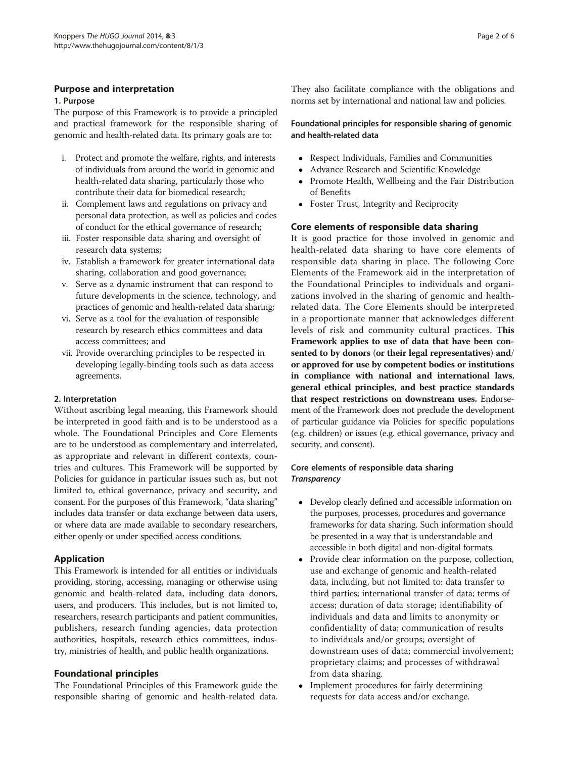#### Purpose and interpretation

#### 1. Purpose

The purpose of this Framework is to provide a principled and practical framework for the responsible sharing of genomic and health-related data. Its primary goals are to:

- i. Protect and promote the welfare, rights, and interests of individuals from around the world in genomic and health-related data sharing, particularly those who contribute their data for biomedical research;
- ii. Complement laws and regulations on privacy and personal data protection, as well as policies and codes of conduct for the ethical governance of research;
- iii. Foster responsible data sharing and oversight of research data systems;
- iv. Establish a framework for greater international data sharing, collaboration and good governance;
- v. Serve as a dynamic instrument that can respond to future developments in the science, technology, and practices of genomic and health-related data sharing;
- vi. Serve as a tool for the evaluation of responsible research by research ethics committees and data access committees; and
- vii. Provide overarching principles to be respected in developing legally-binding tools such as data access agreements.

#### 2. Interpretation

Without ascribing legal meaning, this Framework should be interpreted in good faith and is to be understood as a whole. The Foundational Principles and Core Elements are to be understood as complementary and interrelated, as appropriate and relevant in different contexts, countries and cultures. This Framework will be supported by Policies for guidance in particular issues such as, but not limited to, ethical governance, privacy and security, and consent. For the purposes of this Framework, "data sharing" includes data transfer or data exchange between data users, or where data are made available to secondary researchers, either openly or under specified access conditions.

#### Application

This Framework is intended for all entities or individuals providing, storing, accessing, managing or otherwise using genomic and health-related data, including data donors, users, and producers. This includes, but is not limited to, researchers, research participants and patient communities, publishers, research funding agencies, data protection authorities, hospitals, research ethics committees, industry, ministries of health, and public health organizations.

#### Foundational principles

The Foundational Principles of this Framework guide the responsible sharing of genomic and health-related data. They also facilitate compliance with the obligations and norms set by international and national law and policies.

#### Foundational principles for responsible sharing of genomic and health-related data

- Respect Individuals, Families and Communities
- Advance Research and Scientific Knowledge
- Promote Health, Wellbeing and the Fair Distribution of Benefits
- Foster Trust, Integrity and Reciprocity

#### Core elements of responsible data sharing

It is good practice for those involved in genomic and health-related data sharing to have core elements of responsible data sharing in place. The following Core Elements of the Framework aid in the interpretation of the Foundational Principles to individuals and organizations involved in the sharing of genomic and healthrelated data. The Core Elements should be interpreted in a proportionate manner that acknowledges different levels of risk and community cultural practices. This Framework applies to use of data that have been consented to by donors (or their legal representatives) and/ or approved for use by competent bodies or institutions in compliance with national and international laws, general ethical principles, and best practice standards that respect restrictions on downstream uses. Endorsement of the Framework does not preclude the development of particular guidance via Policies for specific populations (e.g. children) or issues (e.g. ethical governance, privacy and security, and consent).

#### Core elements of responsible data sharing **Transparency**

- Develop clearly defined and accessible information on the purposes, processes, procedures and governance frameworks for data sharing. Such information should be presented in a way that is understandable and accessible in both digital and non-digital formats.
- Provide clear information on the purpose, collection, use and exchange of genomic and health-related data, including, but not limited to: data transfer to third parties; international transfer of data; terms of access; duration of data storage; identifiability of individuals and data and limits to anonymity or confidentiality of data; communication of results to individuals and/or groups; oversight of downstream uses of data; commercial involvement; proprietary claims; and processes of withdrawal from data sharing.
- Implement procedures for fairly determining requests for data access and/or exchange.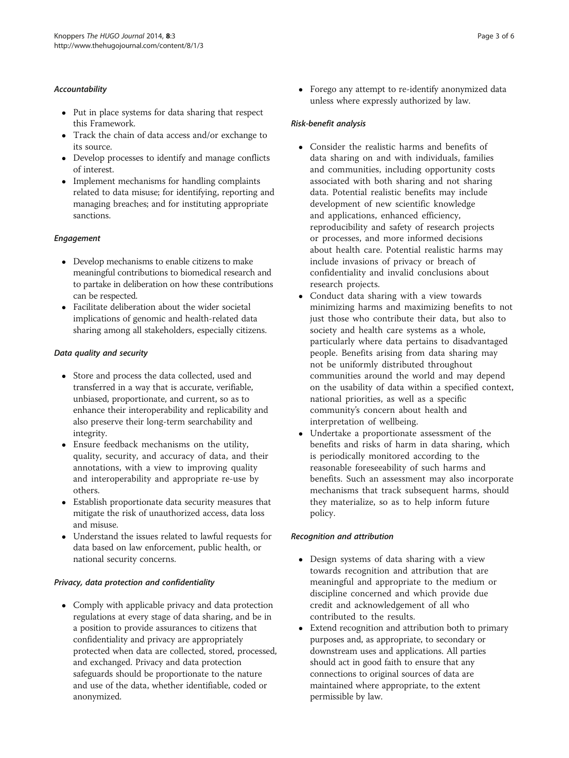#### Accountability

- Put in place systems for data sharing that respect this Framework.
- Track the chain of data access and/or exchange to its source.
- Develop processes to identify and manage conflicts of interest.
- Implement mechanisms for handling complaints related to data misuse; for identifying, reporting and managing breaches; and for instituting appropriate sanctions.

#### Engagement

- Develop mechanisms to enable citizens to make meaningful contributions to biomedical research and to partake in deliberation on how these contributions can be respected.
- Facilitate deliberation about the wider societal implications of genomic and health-related data sharing among all stakeholders, especially citizens.

#### Data quality and security

- Store and process the data collected, used and transferred in a way that is accurate, verifiable, unbiased, proportionate, and current, so as to enhance their interoperability and replicability and also preserve their long-term searchability and integrity.
- Ensure feedback mechanisms on the utility, quality, security, and accuracy of data, and their annotations, with a view to improving quality and interoperability and appropriate re-use by others.
- Establish proportionate data security measures that mitigate the risk of unauthorized access, data loss and misuse.
- Understand the issues related to lawful requests for data based on law enforcement, public health, or national security concerns.

#### Privacy, data protection and confidentiality

• Comply with applicable privacy and data protection regulations at every stage of data sharing, and be in a position to provide assurances to citizens that confidentiality and privacy are appropriately protected when data are collected, stored, processed, and exchanged. Privacy and data protection safeguards should be proportionate to the nature and use of the data, whether identifiable, coded or anonymized.

• Forego any attempt to re-identify anonymized data unless where expressly authorized by law.

#### Risk-benefit analysis

- Consider the realistic harms and benefits of data sharing on and with individuals, families and communities, including opportunity costs associated with both sharing and not sharing data. Potential realistic benefits may include development of new scientific knowledge and applications, enhanced efficiency, reproducibility and safety of research projects or processes, and more informed decisions about health care. Potential realistic harms may include invasions of privacy or breach of confidentiality and invalid conclusions about research projects.
- Conduct data sharing with a view towards minimizing harms and maximizing benefits to not just those who contribute their data, but also to society and health care systems as a whole, particularly where data pertains to disadvantaged people. Benefits arising from data sharing may not be uniformly distributed throughout communities around the world and may depend on the usability of data within a specified context, national priorities, as well as a specific community's concern about health and interpretation of wellbeing.
- Undertake a proportionate assessment of the benefits and risks of harm in data sharing, which is periodically monitored according to the reasonable foreseeability of such harms and benefits. Such an assessment may also incorporate mechanisms that track subsequent harms, should they materialize, so as to help inform future policy.

#### Recognition and attribution

- Design systems of data sharing with a view towards recognition and attribution that are meaningful and appropriate to the medium or discipline concerned and which provide due credit and acknowledgement of all who contributed to the results.
- Extend recognition and attribution both to primary purposes and, as appropriate, to secondary or downstream uses and applications. All parties should act in good faith to ensure that any connections to original sources of data are maintained where appropriate, to the extent permissible by law.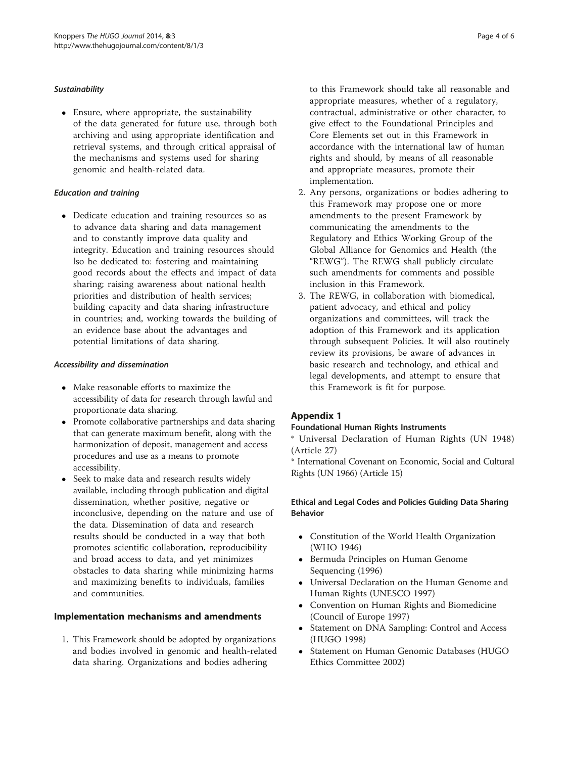#### <span id="page-3-0"></span>**Sustainability**

 Ensure, where appropriate, the sustainability of the data generated for future use, through both archiving and using appropriate identification and retrieval systems, and through critical appraisal of the mechanisms and systems used for sharing genomic and health-related data.

#### Education and training

 Dedicate education and training resources so as to advance data sharing and data management and to constantly improve data quality and integrity. Education and training resources should lso be dedicated to: fostering and maintaining good records about the effects and impact of data sharing; raising awareness about national health priorities and distribution of health services; building capacity and data sharing infrastructure in countries; and, working towards the building of an evidence base about the advantages and potential limitations of data sharing.

#### Accessibility and dissemination

- Make reasonable efforts to maximize the accessibility of data for research through lawful and proportionate data sharing.
- Promote collaborative partnerships and data sharing that can generate maximum benefit, along with the harmonization of deposit, management and access procedures and use as a means to promote accessibility.
- Seek to make data and research results widely available, including through publication and digital dissemination, whether positive, negative or inconclusive, depending on the nature and use of the data. Dissemination of data and research results should be conducted in a way that both promotes scientific collaboration, reproducibility and broad access to data, and yet minimizes obstacles to data sharing while minimizing harms and maximizing benefits to individuals, families and communities.

#### Implementation mechanisms and amendments

1. This Framework should be adopted by organizations and bodies involved in genomic and health-related data sharing. Organizations and bodies adhering

to this Framework should take all reasonable and appropriate measures, whether of a regulatory, contractual, administrative or other character, to give effect to the Foundational Principles and Core Elements set out in this Framework in accordance with the international law of human rights and should, by means of all reasonable and appropriate measures, promote their implementation.

- 2. Any persons, organizations or bodies adhering to this Framework may propose one or more amendments to the present Framework by communicating the amendments to the Regulatory and Ethics Working Group of the Global Alliance for Genomics and Health (the "REWG"). The REWG shall publicly circulate such amendments for comments and possible inclusion in this Framework.
- 3. The REWG, in collaboration with biomedical, patient advocacy, and ethical and policy organizations and committees, will track the adoption of this Framework and its application through subsequent Policies. It will also routinely review its provisions, be aware of advances in basic research and technology, and ethical and legal developments, and attempt to ensure that this Framework is fit for purpose.

# Appendix 1

#### Foundational Human Rights Instruments

\* Universal Declaration of Human Rights (UN 1948) (Article 27)

\* International Covenant on Economic, Social and Cultural Rights (UN 1966) (Article 15)

#### Ethical and Legal Codes and Policies Guiding Data Sharing Behavior

- Constitution of the World Health Organization (WHO 1946)
- Bermuda Principles on Human Genome Sequencing (1996)
- Universal Declaration on the Human Genome and Human Rights (UNESCO 1997)
- Convention on Human Rights and Biomedicine (Council of Europe 1997)
- Statement on DNA Sampling: Control and Access (HUGO 1998)
- Statement on Human Genomic Databases (HUGO Ethics Committee 2002)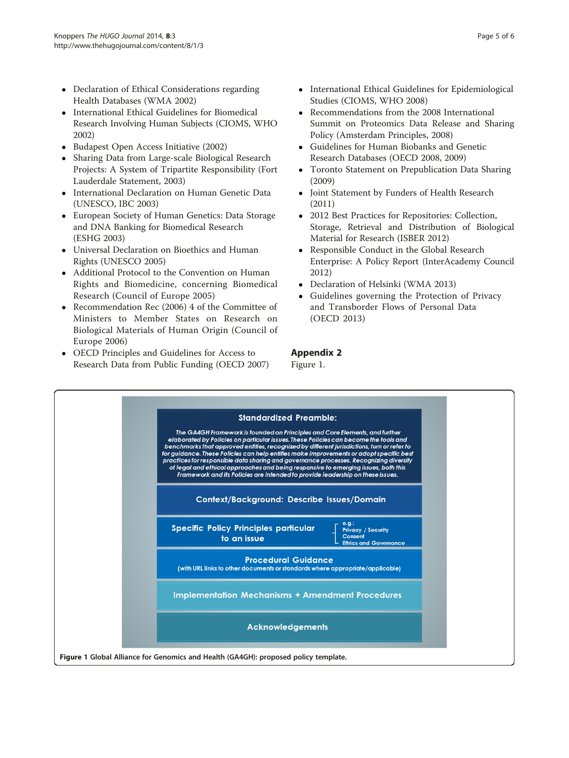- <span id="page-4-0"></span> Declaration of Ethical Considerations regarding Health Databases (WMA 2002)
- International Ethical Guidelines for Biomedical Research Involving Human Subjects (CIOMS, WHO 2002)
- Budapest Open Access Initiative (2002)
- Sharing Data from Large-scale Biological Research Projects: A System of Tripartite Responsibility (Fort Lauderdale Statement, 2003)
- International Declaration on Human Genetic Data (UNESCO, IBC 2003)
- European Society of Human Genetics: Data Storage and DNA Banking for Biomedical Research (ESHG 2003)
- Universal Declaration on Bioethics and Human Rights (UNESCO 2005)
- Additional Protocol to the Convention on Human Rights and Biomedicine, concerning Biomedical Research (Council of Europe 2005)
- Recommendation Rec (2006) 4 of the Committee of Ministers to Member States on Research on Biological Materials of Human Origin (Council of Europe 2006)
- OECD Principles and Guidelines for Access to Research Data from Public Funding (OECD 2007)
- International Ethical Guidelines for Epidemiological Studies (CIOMS, WHO 2008)
- Recommendations from the 2008 International Summit on Proteomics Data Release and Sharing Policy (Amsterdam Principles, 2008)
- Guidelines for Human Biobanks and Genetic Research Databases (OECD 2008, 2009)
- Toronto Statement on Prepublication Data Sharing (2009)
- Joint Statement by Funders of Health Research (2011)
- 2012 Best Practices for Repositories: Collection, Storage, Retrieval and Distribution of Biological Material for Research (ISBER 2012)
- Responsible Conduct in the Global Research Enterprise: A Policy Report (InterAcademy Council 2012)
- Declaration of Helsinki (WMA 2013)
- Guidelines governing the Protection of Privacy and Transborder Flows of Personal Data (OECD 2013)

# Appendix 2

Figure 1.